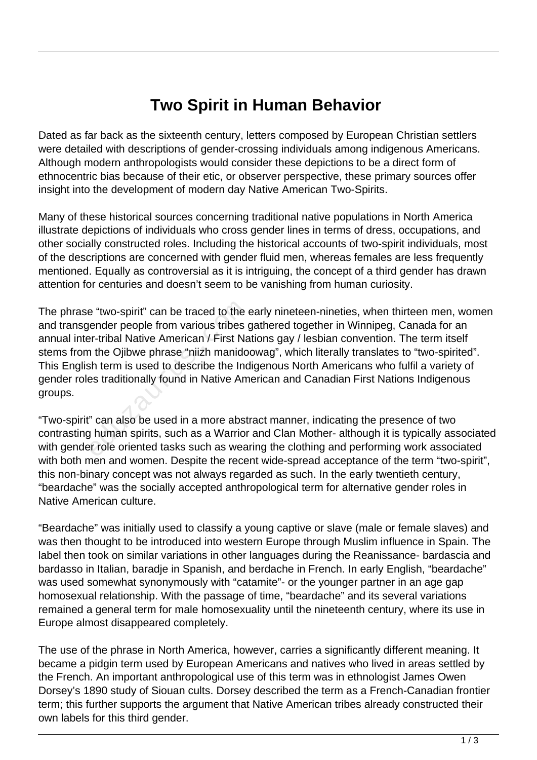## **Two Spirit in Human Behavior**

Dated as far back as the sixteenth century, letters composed by European Christian settlers were detailed with descriptions of gender-crossing individuals among indigenous Americans. Although modern anthropologists would consider these depictions to be a direct form of ethnocentric bias because of their etic, or observer perspective, these primary sources offer insight into the development of modern day Native American Two-Spirits.

Many of these historical sources concerning traditional native populations in North America illustrate depictions of individuals who cross gender lines in terms of dress, occupations, and other socially constructed roles. Including the historical accounts of two-spirit individuals, most of the descriptions are concerned with gender fluid men, whereas females are less frequently mentioned. Equally as controversial as it is intriguing, the concept of a third gender has drawn attention for centuries and doesn't seem to be vanishing from human curiosity.

The phrase "two-spirit" can be traced to the early nineteen-nineties, when thirteen men, women and transgender people from various tribes gathered together in Winnipeg, Canada for an annual inter-tribal Native American / First Nations gay / lesbian convention. The term itself stems from the Ojibwe phrase "niizh manidoowag", which literally translates to "two-spirited". This English term is used to describe the Indigenous North Americans who fulfil a variety of gender roles traditionally found in Native American and Canadian First Nations Indigenous groups. e "two-spirit" can be traced to the ender people from various tribes (<br>ender people from various tribes (<br>er-tribal Native American / First Na<br>n the Ojibwe phrase "niizh manido<br>sh term is used to describe the Inc<br>es tradit

"Two-spirit" can also be used in a more abstract manner, indicating the presence of two contrasting human spirits, such as a Warrior and Clan Mother- although it is typically associated with gender role oriented tasks such as wearing the clothing and performing work associated with both men and women. Despite the recent wide-spread acceptance of the term "two-spirit", this non-binary concept was not always regarded as such. In the early twentieth century, "beardache" was the socially accepted anthropological term for alternative gender roles in Native American culture.

"Beardache" was initially used to classify a young captive or slave (male or female slaves) and was then thought to be introduced into western Europe through Muslim influence in Spain. The label then took on similar variations in other languages during the Reanissance- bardascia and bardasso in Italian, baradje in Spanish, and berdache in French. In early English, "beardache" was used somewhat synonymously with "catamite"- or the younger partner in an age gap homosexual relationship. With the passage of time, "beardache" and its several variations remained a general term for male homosexuality until the nineteenth century, where its use in Europe almost disappeared completely.

The use of the phrase in North America, however, carries a significantly different meaning. It became a pidgin term used by European Americans and natives who lived in areas settled by the French. An important anthropological use of this term was in ethnologist James Owen Dorsey's 1890 study of Siouan cults. Dorsey described the term as a French-Canadian frontier term; this further supports the argument that Native American tribes already constructed their own labels for this third gender.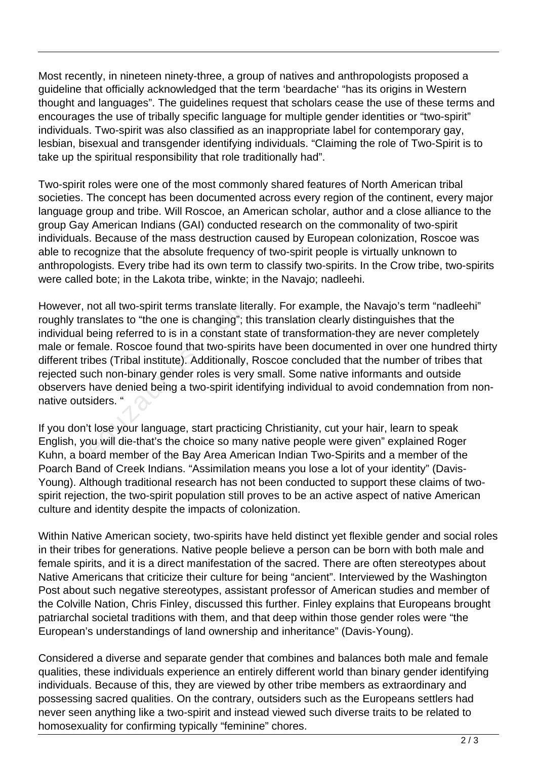Most recently, in nineteen ninety-three, a group of natives and anthropologists proposed a guideline that officially acknowledged that the term 'beardache' "has its origins in Western thought and languages". The guidelines request that scholars cease the use of these terms and encourages the use of tribally specific language for multiple gender identities or "two-spirit" individuals. Two-spirit was also classified as an inappropriate label for contemporary gay, lesbian, bisexual and transgender identifying individuals. "Claiming the role of Two-Spirit is to take up the spiritual responsibility that role traditionally had".

Two-spirit roles were one of the most commonly shared features of North American tribal societies. The concept has been documented across every region of the continent, every major language group and tribe. Will Roscoe, an American scholar, author and a close alliance to the group Gay American Indians (GAI) conducted research on the commonality of two-spirit individuals. Because of the mass destruction caused by European colonization, Roscoe was able to recognize that the absolute frequency of two-spirit people is virtually unknown to anthropologists. Every tribe had its own term to classify two-spirits. In the Crow tribe, two-spirits were called bote; in the Lakota tribe, winkte; in the Navajo; nadleehi.

However, not all two-spirit terms translate literally. For example, the Navajo's term "nadleehi" roughly translates to "the one is changing"; this translation clearly distinguishes that the individual being referred to is in a constant state of transformation-they are never completely male or female. Roscoe found that two-spirits have been documented in over one hundred thirty different tribes (Tribal institute). Additionally, Roscoe concluded that the number of tribes that rejected such non-binary gender roles is very small. Some native informants and outside observers have denied being a two-spirit identifying individual to avoid condemnation from nonnative outsiders. " not all two-spirit terms translate lite<br>inslates to "the one is changing"; t<br>peing referred to is in a constant s<br>male. Roscoe found that two-spirit<br>ibes (Tribal institute). Additionally,<br>uch non-binary gender roles is ver

If you don't lose your language, start practicing Christianity, cut your hair, learn to speak English, you will die-that's the choice so many native people were given" explained Roger Kuhn, a board member of the Bay Area American Indian Two-Spirits and a member of the Poarch Band of Creek Indians. "Assimilation means you lose a lot of your identity" (Davis-Young). Although traditional research has not been conducted to support these claims of twospirit rejection, the two-spirit population still proves to be an active aspect of native American culture and identity despite the impacts of colonization.

Within Native American society, two-spirits have held distinct yet flexible gender and social roles in their tribes for generations. Native people believe a person can be born with both male and female spirits, and it is a direct manifestation of the sacred. There are often stereotypes about Native Americans that criticize their culture for being "ancient". Interviewed by the Washington Post about such negative stereotypes, assistant professor of American studies and member of the Colville Nation, Chris Finley, discussed this further. Finley explains that Europeans brought patriarchal societal traditions with them, and that deep within those gender roles were "the European's understandings of land ownership and inheritance" (Davis-Young).

Considered a diverse and separate gender that combines and balances both male and female qualities, these individuals experience an entirely different world than binary gender identifying individuals. Because of this, they are viewed by other tribe members as extraordinary and possessing sacred qualities. On the contrary, outsiders such as the Europeans settlers had never seen anything like a two-spirit and instead viewed such diverse traits to be related to homosexuality for confirming typically "feminine" chores.